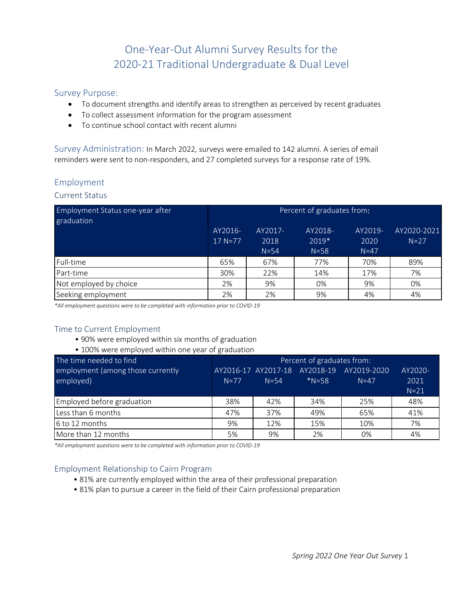# One-Year-Out Alumni Survey Results for the 2020-21 Traditional Undergraduate & Dual Level

### Survey Purpose:

- To document strengths and identify areas to strengthen as perceived by recent graduates
- To collect assessment information for the program assessment
- To continue school contact with recent alumni

Survey Administration: In March 2022, surveys were emailed to 142 alumni. A series of email reminders were sent to non-responders, and 27 completed surveys for a response rate of 19%.

### Employment

### Current Status

| Employment Status one-year after<br>graduation | Percent of graduates from: |          |          |         |             |  |  |  |
|------------------------------------------------|----------------------------|----------|----------|---------|-------------|--|--|--|
|                                                | AY2016-                    | AY2017-  | AY2018-  | AY2019- | AY2020-2021 |  |  |  |
|                                                | $17 N = 77$                | 2018     | 2019*    | 2020    | $N=27$      |  |  |  |
|                                                |                            | $N = 54$ | $N = 58$ | $N=47$  |             |  |  |  |
| Full-time                                      | 65%                        | 67%      | 77%      | 70%     | 89%         |  |  |  |
| Part-time                                      | 30%                        | 22%      | 14%      | 17%     | 7%          |  |  |  |
| Not employed by choice                         | 2%                         | 9%       | 0%       | 9%      | 0%          |  |  |  |
| Seeking employment                             | 2%                         | 2%       | 9%       | 4%      | 4%          |  |  |  |

*\*All employment questions were to be completed with information prior to COVID-19*

### Time to Current Employment

- 90% were employed within six months of graduation
- 100% were employed within one year of graduation

| The time needed to find           | Percent of graduates from: |                               |           |             |         |  |  |  |
|-----------------------------------|----------------------------|-------------------------------|-----------|-------------|---------|--|--|--|
| employment (among those currently |                            | AY2016-17 AY2017-18 AY2018-19 |           | AY2019-2020 | AY2020- |  |  |  |
| employed)                         | $N=77$                     | $N = 54$                      | $*N = 58$ | $N = 47$    | 2021    |  |  |  |
|                                   |                            |                               |           |             | $N=21$  |  |  |  |
| Employed before graduation        | 38%                        | 42%                           | 34%       | 25%         | 48%     |  |  |  |
| Less than 6 months                | 47%                        | 37%                           | 49%       | 65%         | 41%     |  |  |  |
| 6 to 12 months                    | 9%                         | 12%                           | 15%       | 10%         | 7%      |  |  |  |
| More than 12 months               | 5%                         | 9%                            | 2%        | 0%          | 4%      |  |  |  |

*\*All employment questions were to be completed with information prior to COVID-19*

### Employment Relationship to Cairn Program

- 81% are currently employed within the area of their professional preparation
- 81% plan to pursue a career in the field of their Cairn professional preparation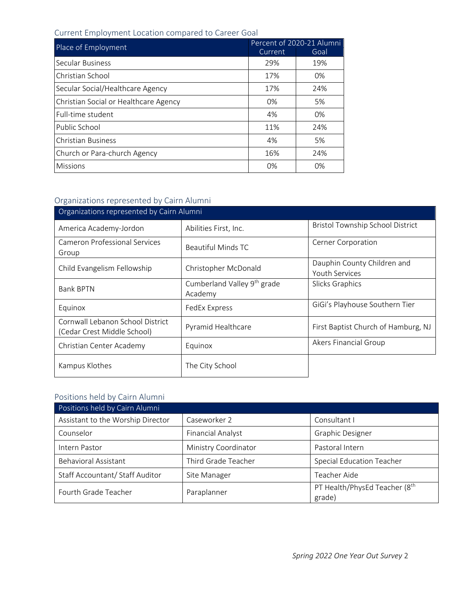## Current Employment Location compared to Career Goal

| Place of Employment                   | Percent of 2020-21 Alumni |      |  |  |
|---------------------------------------|---------------------------|------|--|--|
|                                       | Current                   | Goal |  |  |
| Secular Business                      | 29%                       | 19%  |  |  |
| Christian School                      | 17%                       | 0%   |  |  |
| Secular Social/Healthcare Agency      | 17%                       | 24%  |  |  |
| Christian Social or Healthcare Agency | 0%                        | 5%   |  |  |
| Full-time student                     | 4%                        | 0%   |  |  |
| Public School                         | 11%                       | 24%  |  |  |
| <b>Christian Business</b>             | 4%                        | 5%   |  |  |
| Church or Para-church Agency          | 16%                       | 24%  |  |  |
| <b>Missions</b>                       | 0%                        | 0%   |  |  |

## Organizations represented by Cairn Alumni

| Organizations represented by Cairn Alumni                       |                                                    |                                                      |
|-----------------------------------------------------------------|----------------------------------------------------|------------------------------------------------------|
| America Academy-Jordon                                          | Abilities First, Inc.                              | <b>Bristol Township School District</b>              |
| Cameron Professional Services<br>Group                          | Beautiful Minds TC                                 | <b>Cerner Corporation</b>                            |
| Child Evangelism Fellowship                                     | Christopher McDonald                               | Dauphin County Children and<br><b>Youth Services</b> |
| <b>Bank BPTN</b>                                                | Cumberland Valley 9 <sup>th</sup> grade<br>Academy | Slicks Graphics                                      |
| Equinox                                                         | FedEx Express                                      | GiGi's Playhouse Southern Tier                       |
| Cornwall Lebanon School District<br>(Cedar Crest Middle School) | Pyramid Healthcare                                 | First Baptist Church of Hamburg, NJ                  |
| Christian Center Academy                                        | Equinox                                            | Akers Financial Group                                |
| Kampus Klothes                                                  | The City School                                    |                                                      |

## Positions held by Cairn Alumni

| Positions held by Cairn Alumni    |                          |                                                     |
|-----------------------------------|--------------------------|-----------------------------------------------------|
| Assistant to the Worship Director | Caseworker 2             | Consultant I                                        |
| Counselor                         | <b>Financial Analyst</b> | <b>Graphic Designer</b>                             |
| Intern Pastor                     | Ministry Coordinator     | Pastoral Intern                                     |
| <b>Behavioral Assistant</b>       | Third Grade Teacher      | <b>Special Education Teacher</b>                    |
| Staff Accountant/ Staff Auditor   | Site Manager             | Teacher Aide                                        |
| Fourth Grade Teacher              | Paraplanner              | PT Health/PhysEd Teacher (8 <sup>th</sup><br>grade) |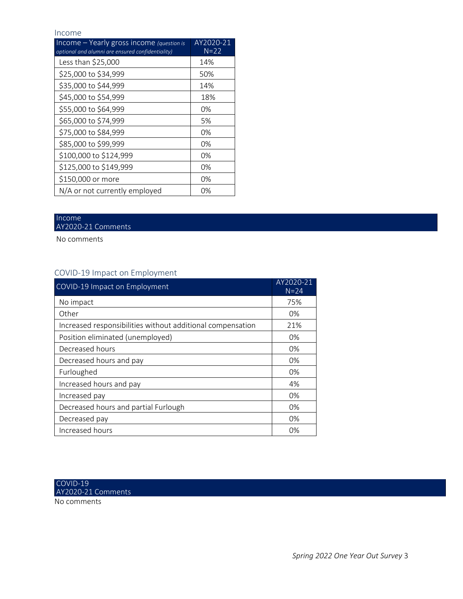#### Income

| Income $-$ Yearly gross income (question is<br>optional and alumni are ensured confidentiality) | AY2020-21<br>$N=22$ |
|-------------------------------------------------------------------------------------------------|---------------------|
| Less than \$25,000                                                                              | 14%                 |
| \$25,000 to \$34,999                                                                            | 50%                 |
| \$35,000 to \$44,999                                                                            | 14%                 |
| \$45,000 to \$54,999                                                                            | 18%                 |
| \$55,000 to \$64,999                                                                            | 0%                  |
| \$65,000 to \$74,999                                                                            | 5%                  |
| \$75,000 to \$84,999                                                                            | 0%                  |
| \$85,000 to \$99,999                                                                            | 0%                  |
| \$100,000 to \$124,999                                                                          | 0%                  |
| \$125,000 to \$149,999                                                                          | 0%                  |
| \$150,000 or more                                                                               | 0%                  |
| N/A or not currently employed                                                                   | 0%                  |

#### Income AY2020-21 Comments

No comments

## COVID-19 Impact on Employment

| COVID-19 Impact on Employment                              | AY2020-21<br>$N = 24$ |
|------------------------------------------------------------|-----------------------|
| No impact                                                  | 75%                   |
| Other                                                      | 0%                    |
| Increased responsibilities without additional compensation | 21%                   |
| Position eliminated (unemployed)                           | 0%                    |
| Decreased hours                                            | 0%                    |
| Decreased hours and pay                                    | 0%                    |
| Furloughed                                                 | $0\%$                 |
| Increased hours and pay                                    | 4%                    |
| Increased pay                                              | 0%                    |
| Decreased hours and partial Furlough                       | 0%                    |
| Decreased pay                                              | 0%                    |
| Increased hours                                            | 0%                    |

No comments COVID-19 AY2020-21 Comments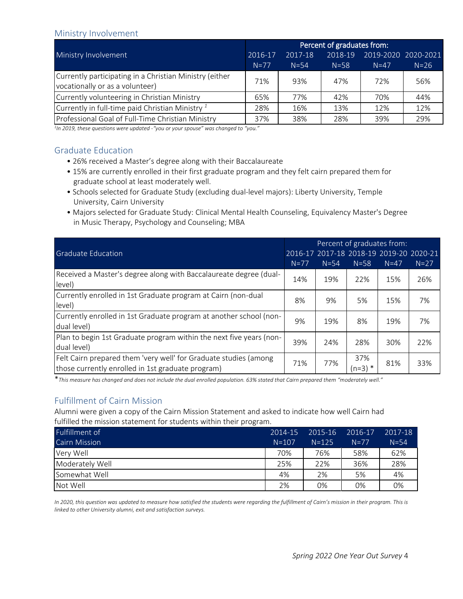### Ministry Involvement

|                                                                                            | Percent of graduates from: |          |          |                     |        |  |  |
|--------------------------------------------------------------------------------------------|----------------------------|----------|----------|---------------------|--------|--|--|
| Ministry Involvement                                                                       | 2016-17                    | 2017-18  | 2018-19  | 2019-2020 2020-2021 |        |  |  |
|                                                                                            | $N=77$                     | $N = 54$ | $N = 58$ | $N=47$              | $N=26$ |  |  |
| Currently participating in a Christian Ministry (either<br>vocationally or as a volunteer) | 71%                        | 93%      | 47%      | 72%                 | 56%    |  |  |
| Currently volunteering in Christian Ministry                                               | 65%                        | 77%      | 42%      | 70%                 | 44%    |  |  |
| Currently in full-time paid Christian Ministry <sup>1</sup>                                | 28%                        | 16%      | 13%      | 12%                 | 12%    |  |  |
| Professional Goal of Full-Time Christian Ministry                                          | 37%                        | 38%      | 28%      | 39%                 | 29%    |  |  |

*1 In 2019, these questions were updated -"you or your spouse" was changed to "you."*

### Graduate Education

- 26% received a Master's degree along with their Baccalaureate
- 15% are currently enrolled in their first graduate program and they felt cairn prepared them for graduate school at least moderately well.
- Schools selected for Graduate Study (excluding dual-level majors): Liberty University, Temple University, Cairn University
- Majors selected for Graduate Study: Clinical Mental Health Counseling, Equivalency Master's Degree in Music Therapy, Psychology and Counseling; MBA

|                                                                                                                       | Percent of graduates from: |          |                                         |          |        |  |
|-----------------------------------------------------------------------------------------------------------------------|----------------------------|----------|-----------------------------------------|----------|--------|--|
| <b>Graduate Education</b>                                                                                             |                            |          | 2016-17 2017-18 2018-19 2019-20 2020-21 |          |        |  |
|                                                                                                                       | $N=77$                     | $N = 54$ | $N = 58$                                | $N = 47$ | $N=27$ |  |
| Received a Master's degree along with Baccalaureate degree (dual-<br>level)                                           | 14%                        | 19%      | 22%                                     | 15%      | 26%    |  |
| Currently enrolled in 1st Graduate program at Cairn (non-dual<br>level)                                               | 8%                         | 9%       | 5%                                      | 15%      | 7%     |  |
| Currently enrolled in 1st Graduate program at another school (non-<br>dual level)                                     | 9%                         | 19%      | 8%                                      | 19%      | 7%     |  |
| Plan to begin 1st Graduate program within the next five years (non-<br>dual level)                                    | 39%                        | 24%      | 28%                                     | 30%      | 22%    |  |
| Felt Cairn prepared them 'very well' for Graduate studies (among<br>those currently enrolled in 1st graduate program) | 71%                        | 77%      | 37%<br>$(n=3)$ *                        | 81%      | 33%    |  |

\**This measure has changed and does not include the dual enrolled population. 63% stated that Cairn prepared them "moderately well."*

## Fulfillment of Cairn Mission

Alumni were given a copy of the Cairn Mission Statement and asked to indicate how well Cairn had fulfilled the mission statement for students within their program.

| Fulfillment of       | 2014-15   | 2015-16   | 2016-17 | 2017-18  |
|----------------------|-----------|-----------|---------|----------|
| <b>Cairn Mission</b> | $N = 107$ | $N = 125$ | $N=77$  | $N = 54$ |
| Very Well            | 70%       | 76%       | 58%     | 62%      |
| Moderately Well      | 25%       | 22%       | 36%     | 28%      |
| Somewhat Well        | 4%        | 2%        | 5%      | 4%       |
| Not Well             | 2%        | 0%        | 0%      | 0%       |

*In 2020, this question was updated to measure how satisfied the students were regarding the fulfillment of Cairn's mission in their program. This is linked to other University alumni, exit and satisfaction surveys.*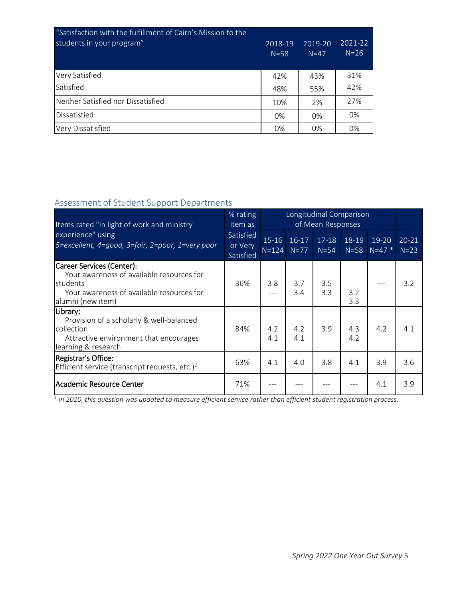| "Satisfaction with the fulfillment of Cairn's Mission to the<br>students in your program" | 2018-19<br>$N = 58$ | 2019-20<br>$N=47$ | 2021-22<br>$N = 26$ |
|-------------------------------------------------------------------------------------------|---------------------|-------------------|---------------------|
| <b>Very Satisfied</b>                                                                     | 42%                 | 43%               | 31%                 |
| Satisfied                                                                                 | 48%                 | 55%               | 42%                 |
| Neither Satisfied nor Dissatisfied                                                        | 10%                 | 2%                | 27%                 |
| <b>Dissatisfied</b>                                                                       | 0%                  | $0\%$             | 0%                  |
| Very Dissatisfied                                                                         | 0%                  | 0%                | 0%                  |

## Assessment of Student Support Departments

| Items rated "In light of work and ministry                                                                                                           | % rating<br>item as               |                      |                   | Longitudinal Comparison<br>of Mean Responses |            |                          |                     |
|------------------------------------------------------------------------------------------------------------------------------------------------------|-----------------------------------|----------------------|-------------------|----------------------------------------------|------------|--------------------------|---------------------|
| experience" using<br>5=excellent, 4=good, 3=fair, 2=poor, 1=very poor                                                                                | Satisfied<br>or Very<br>Satisfied | $15 - 16$<br>$N=124$ | $16-17$<br>$N=77$ | $17 - 18$<br>$N=54$                          | 18-19      | $19-20$<br>$N=58$ N=47 * | $20 - 21$<br>$N=23$ |
| Career Services (Center):<br>Your awareness of available resources for<br>students<br>Your awareness of available resources for<br>alumni (new item) | 36%                               | 3.8                  | 3.7<br>3.4        | 3.5<br>3.3                                   | 3.2<br>3.3 | ---                      | 3.2                 |
| Library:<br>Provision of a scholarly & well-balanced<br>collection<br>Attractive environment that encourages<br>learning & research                  | 84%                               | 4.2<br>4.1           | 4.2<br>4.1        | 3.9                                          | 4.3<br>4.2 | 4.2                      | 4.1                 |
| Registrar's Office:<br>Efficient service (transcript requests, etc.) $1$                                                                             | 63%                               | 4.1                  | 4.0               | 3.8                                          | 4.1        | 3.9                      | 3.6                 |
| Academic Resource Center                                                                                                                             | 71%                               |                      |                   |                                              |            | 4.1                      | 3.9                 |

*1 In 2020, this question was updated to measure efficient service rather than efficient student registration process.*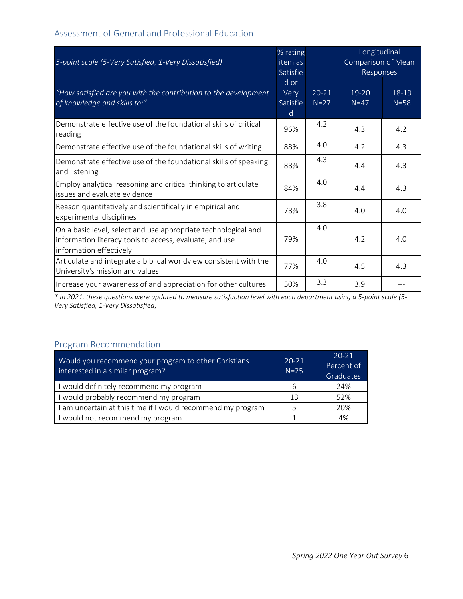## Assessment of General and Professional Education

| 5-point scale (5-Very Satisfied, 1-Very Dissatisfied)                                                                                                | % rating<br>item as<br>Satisfie |                     | Longitudinal<br>Comparison of Mean<br>Responses |                   |
|------------------------------------------------------------------------------------------------------------------------------------------------------|---------------------------------|---------------------|-------------------------------------------------|-------------------|
| "How satisfied are you with the contribution to the development<br>of knowledge and skills to:"                                                      | d or<br>Very<br>Satisfie<br>d   | $20 - 21$<br>$N=27$ | $19 - 20$<br>$N=47$                             | 18-19<br>$N = 58$ |
| Demonstrate effective use of the foundational skills of critical<br>reading                                                                          | 96%                             | 4.2                 | 4.3                                             | 4.2               |
| Demonstrate effective use of the foundational skills of writing                                                                                      | 88%                             | 4.0                 | 4.2                                             | 4.3               |
| Demonstrate effective use of the foundational skills of speaking<br>and listening                                                                    | 88%                             | 4.3                 | 4.4                                             | 4.3               |
| Employ analytical reasoning and critical thinking to articulate<br>issues and evaluate evidence                                                      | 84%                             | 4.0                 | 4.4                                             | 4.3               |
| Reason quantitatively and scientifically in empirical and<br>experimental disciplines                                                                | 78%                             | 3.8                 | 4.0                                             | 4.0               |
| On a basic level, select and use appropriate technological and<br>information literacy tools to access, evaluate, and use<br>information effectively | 79%                             | 4.0                 | 4.2                                             | 4.0               |
| Articulate and integrate a biblical worldview consistent with the<br>University's mission and values                                                 | 77%                             | 4.0                 | 4.5                                             | 4.3               |
| Increase your awareness of and appreciation for other cultures                                                                                       | 50%                             | 3.3                 | 3.9                                             |                   |

*\* In 2021, these questions were updated to measure satisfaction level with each department using a 5-point scale (5- Very Satisfied, 1-Very Dissatisfied)*

## Program Recommendation

| Would you recommend your program to other Christians<br>interested in a similar program? | $20 - 21$<br>$N=25$ | $20 - 21$<br>Percent of<br>Graduates |
|------------------------------------------------------------------------------------------|---------------------|--------------------------------------|
| I would definitely recommend my program                                                  |                     | 24%                                  |
| I would probably recommend my program                                                    | 13                  | 52%                                  |
| I am uncertain at this time if I would recommend my program                              |                     | 20%                                  |
| I would not recommend my program                                                         |                     | 4%                                   |